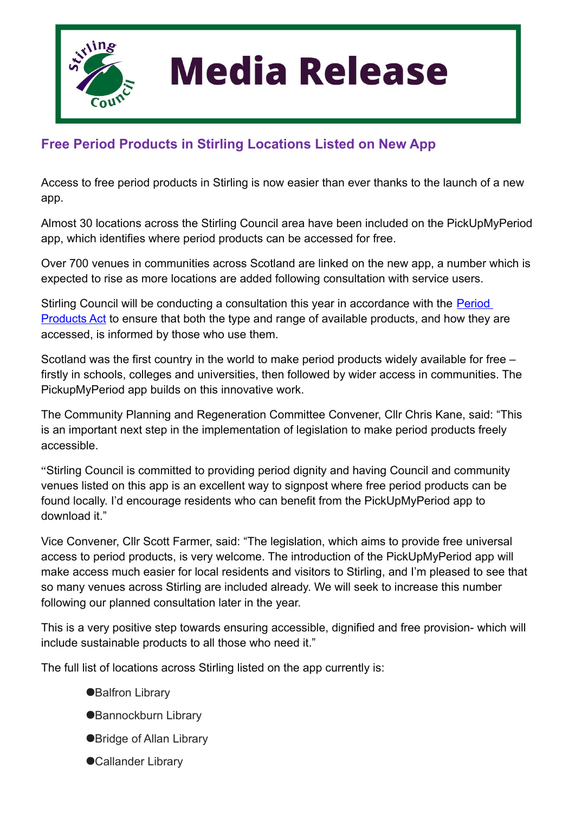

## **Media Release**

## **Free Period Products in Stirling Locations Listed on New App**

Access to free period products in Stirling is now easier than ever thanks to the launch of a new app.

Almost 30 locations across the Stirling Council area have been included on the PickUpMyPeriod app, which identifies where period products can be accessed for free.

Over 700 venues in communities across Scotland are linked on the new app, a number which is expected to rise as more locations are added following consultation with service users.

Stirling Council will be conducting a consultation this year in accordance with the [Period](https://www.parliament.scot/bills-and-laws/bills/period-products-free-provision-scotland-bill)  [Products Act](https://www.parliament.scot/bills-and-laws/bills/period-products-free-provision-scotland-bill) to ensure that both the type and range of available products, and how they are accessed, is informed by those who use them.

Scotland was the first country in the world to make period products widely available for free – firstly in schools, colleges and universities, then followed by wider access in communities. The PickupMyPeriod app builds on this innovative work.

The Community Planning and Regeneration Committee Convener, Cllr Chris Kane, said: "This is an important next step in the implementation of legislation to make period products freely accessible.

"Stirling Council is committed to providing period dignity and having Council and community venues listed on this app is an excellent way to signpost where free period products can be found locally. I'd encourage residents who can benefit from the PickUpMyPeriod app to download it."

Vice Convener, Cllr Scott Farmer, said: "The legislation, which aims to provide free universal access to period products, is very welcome. The introduction of the PickUpMyPeriod app will make access much easier for local residents and visitors to Stirling, and I'm pleased to see that so many venues across Stirling are included already. We will seek to increase this number following our planned consultation later in the year.

This is a very positive step towards ensuring accessible, dignified and free provision- which will include sustainable products to all those who need it."

The full list of locations across Stirling listed on the app currently is:

- ●**Balfron Library**
- ●Bannockburn Library
- ●Bridge of Allan Library
- ●Callander Library